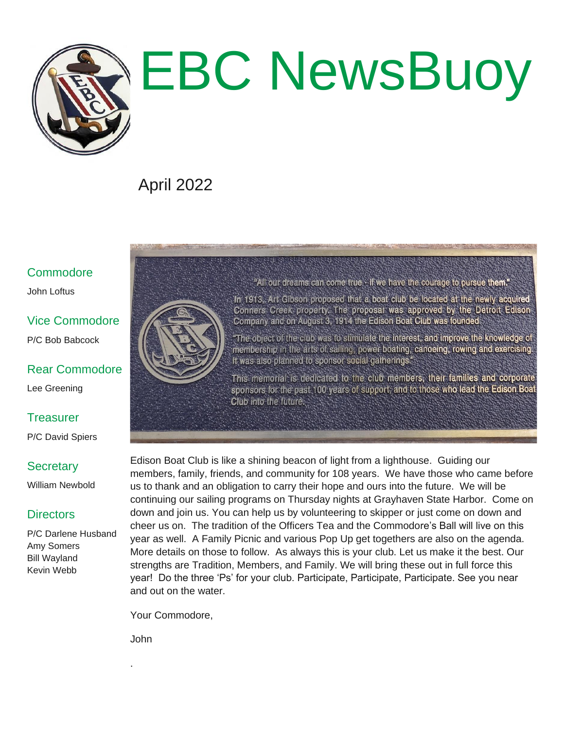

# EBC NewsBuoy

## April 2022

#### **Commodore**

John Loftus

### Vice Commodore

P/C Bob Babcock

#### Rear Commodore Lee Greening

**Treasurer** 

P/C David Spiers

#### **Secretary**

William Newbold

#### **Directors**

P/C Darlene Husband Amy Somers Bill Wayland Kevin Webb



"All our dreams can come true - if we have the courage to pursue them."

In 1913. Art Gibson proposed that a boat club be located at the newly acquired Conners Creek property. The proposal was approved by the Detroit Edison Company and on August 3, 1914 the Edison Boat Club was founded.

"The object of the club was to stimulate the interest, and improve the knowledge of membership in the arts of sailing, power boating, canoeing, rowing and exercising. It was also planned to sponsor social gatherings."

This memorial is dedicated to the club members, their families and corporate sponsors for the past 100 years of support; and to those who lead the Edison Boat Club into the future.

Edison Boat Club is like a shining beacon of light from a lighthouse. Guiding our members, family, friends, and community for 108 years. We have those who came before us to thank and an obligation to carry their hope and ours into the future. We will be continuing our sailing programs on Thursday nights at Grayhaven State Harbor. Come on down and join us. You can help us by volunteering to skipper or just come on down and cheer us on. The tradition of the Officers Tea and the Commodore's Ball will live on this year as well. A Family Picnic and various Pop Up get togethers are also on the agenda. More details on those to follow. As always this is your club. Let us make it the best. Our strengths are Tradition, Members, and Family. We will bring these out in full force this year! Do the three 'Ps' for your club. Participate, Participate, Participate. See you near and out on the water.

Your Commodore,

John

.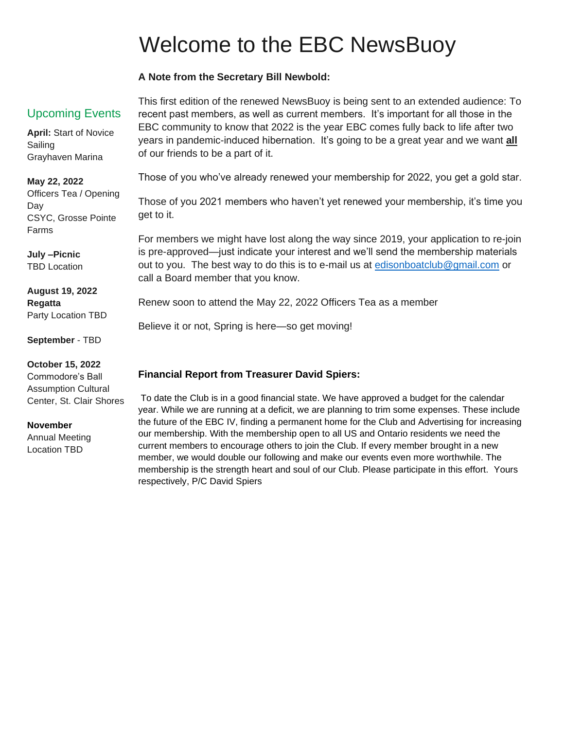## Welcome to the EBC NewsBuoy

#### **A Note from the Secretary Bill Newbold:**

#### Upcoming Events

**April:** Start of Novice Sailing Grayhaven Marina

**May 22, 2022**

Officers Tea / Opening Day CSYC, Grosse Pointe Farms

**July –Picnic** TBD Location

**August 19, 2022 Regatta** Party Location TBD

**September** - TBD

**October 15, 2022**

Commodore's Ball Assumption Cultural Center, St. Clair Shores

#### **November**

Annual Meeting Location TBD

This first edition of the renewed NewsBuoy is being sent to an extended audience: To recent past members, as well as current members. It's important for all those in the EBC community to know that 2022 is the year EBC comes fully back to life after two years in pandemic-induced hibernation. It's going to be a great year and we want **all** of our friends to be a part of it.

Those of you who've already renewed your membership for 2022, you get a gold star.

Those of you 2021 members who haven't yet renewed your membership, it's time you get to it.

For members we might have lost along the way since 2019, your application to re-join is pre-approved—just indicate your interest and we'll send the membership materials out to you. The best way to do this is to e-mail us at [edisonboatclub@gmail.com](mailto:edisonboatclub@gmail.com) or call a Board member that you know.

Renew soon to attend the May 22, 2022 Officers Tea as a member

Believe it or not, Spring is here—so get moving!

#### **Financial Report from Treasurer David Spiers:**

To date the Club is in a good financial state. We have approved a budget for the calendar year. While we are running at a deficit, we are planning to trim some expenses. These include the future of the EBC IV, finding a permanent home for the Club and Advertising for increasing our membership. With the membership open to all US and Ontario residents we need the current members to encourage others to join the Club. If every member brought in a new member, we would double our following and make our events even more worthwhile. The membership is the strength heart and soul of our Club. Please participate in this effort. Yours respectively, P/C David Spiers